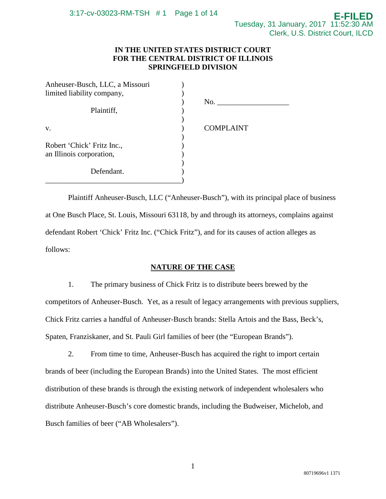# **IN THE UNITED STATES DISTRICT COURT FOR THE CENTRAL DISTRICT OF ILLINOIS SPRINGFIELD DIVISION**

| Anheuser-Busch, LLC, a Missouri                        |                  |
|--------------------------------------------------------|------------------|
| limited liability company,                             |                  |
| Plaintiff,                                             | No.              |
| V.                                                     | <b>COMPLAINT</b> |
| Robert 'Chick' Fritz Inc.,<br>an Illinois corporation, |                  |
| Defendant.                                             |                  |

Plaintiff Anheuser-Busch, LLC ("Anheuser-Busch"), with its principal place of business at One Busch Place, St. Louis, Missouri 63118, by and through its attorneys, complains against defendant Robert 'Chick' Fritz Inc. ("Chick Fritz"), and for its causes of action alleges as follows:

# **NATURE OF THE CASE**

1. The primary business of Chick Fritz is to distribute beers brewed by the competitors of Anheuser-Busch. Yet, as a result of legacy arrangements with previous suppliers, Chick Fritz carries a handful of Anheuser-Busch brands: Stella Artois and the Bass, Beck's, Spaten, Franziskaner, and St. Pauli Girl families of beer (the "European Brands").

2. From time to time, Anheuser-Busch has acquired the right to import certain brands of beer (including the European Brands) into the United States. The most efficient distribution of these brands is through the existing network of independent wholesalers who distribute Anheuser-Busch's core domestic brands, including the Budweiser, Michelob, and Busch families of beer ("AB Wholesalers").

1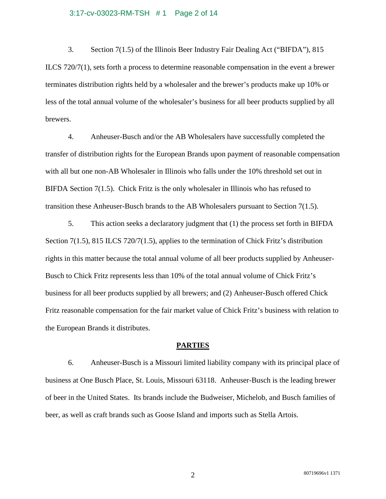#### 3:17-cv-03023-RM-TSH # 1 Page 2 of 14

3. Section 7(1.5) of the Illinois Beer Industry Fair Dealing Act ("BIFDA"), 815 ILCS 720/7(1), sets forth a process to determine reasonable compensation in the event a brewer terminates distribution rights held by a wholesaler and the brewer's products make up 10% or less of the total annual volume of the wholesaler's business for all beer products supplied by all brewers.

4. Anheuser-Busch and/or the AB Wholesalers have successfully completed the transfer of distribution rights for the European Brands upon payment of reasonable compensation with all but one non-AB Wholesaler in Illinois who falls under the 10% threshold set out in BIFDA Section  $7(1.5)$ . Chick Fritz is the only wholesaler in Illinois who has refused to transition these Anheuser-Busch brands to the AB Wholesalers pursuant to Section 7(1.5).

5. This action seeks a declaratory judgment that (1) the process set forth in BIFDA Section 7(1.5), 815 ILCS 720/7(1.5), applies to the termination of Chick Fritz's distribution rights in this matter because the total annual volume of all beer products supplied by Anheuser-Busch to Chick Fritz represents less than 10% of the total annual volume of Chick Fritz's business for all beer products supplied by all brewers; and (2) Anheuser-Busch offered Chick Fritz reasonable compensation for the fair market value of Chick Fritz's business with relation to the European Brands it distributes.

### **PARTIES**

6. Anheuser-Busch is a Missouri limited liability company with its principal place of business at One Busch Place, St. Louis, Missouri 63118. Anheuser-Busch is the leading brewer of beer in the United States. Its brands include the Budweiser, Michelob, and Busch families of beer, as well as craft brands such as Goose Island and imports such as Stella Artois.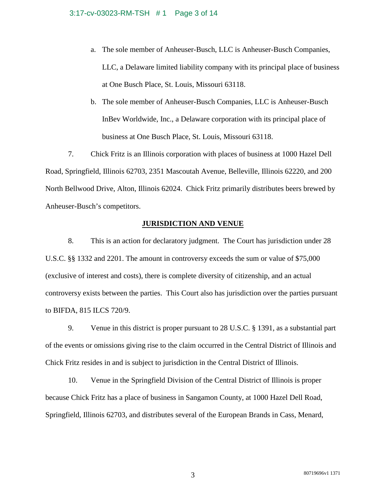## 3:17-cv-03023-RM-TSH # 1 Page 3 of 14

- a. The sole member of Anheuser-Busch, LLC is Anheuser-Busch Companies, LLC, a Delaware limited liability company with its principal place of business at One Busch Place, St. Louis, Missouri 63118.
- b. The sole member of Anheuser-Busch Companies, LLC is Anheuser-Busch InBev Worldwide, Inc., a Delaware corporation with its principal place of business at One Busch Place, St. Louis, Missouri 63118.

7. Chick Fritz is an Illinois corporation with places of business at 1000 Hazel Dell Road, Springfield, Illinois 62703, 2351 Mascoutah Avenue, Belleville, Illinois 62220, and 200 North Bellwood Drive, Alton, Illinois 62024. Chick Fritz primarily distributes beers brewed by Anheuser-Busch's competitors.

## **JURISDICTION AND VENUE**

8. This is an action for declaratory judgment. The Court has jurisdiction under 28 U.S.C. §§ 1332 and 2201. The amount in controversy exceeds the sum or value of \$75,000 (exclusive of interest and costs), there is complete diversity of citizenship, and an actual controversy exists between the parties. This Court also has jurisdiction over the parties pursuant to BIFDA, 815 ILCS 720/9.

9. Venue in this district is proper pursuant to 28 U.S.C. § 1391, as a substantial part of the events or omissions giving rise to the claim occurred in the Central District of Illinois and Chick Fritz resides in and is subject to jurisdiction in the Central District of Illinois.

10. Venue in the Springfield Division of the Central District of Illinois is proper because Chick Fritz has a place of business in Sangamon County, at 1000 Hazel Dell Road, Springfield, Illinois 62703, and distributes several of the European Brands in Cass, Menard,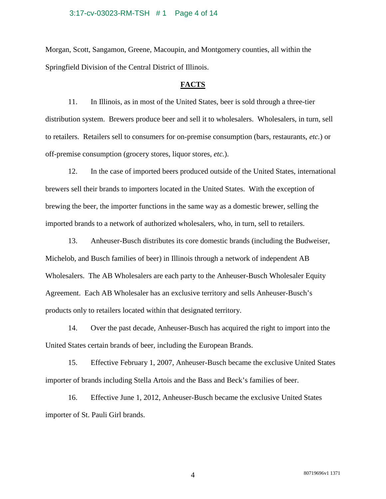#### 3:17-cv-03023-RM-TSH # 1 Page 4 of 14

Morgan, Scott, Sangamon, Greene, Macoupin, and Montgomery counties, all within the Springfield Division of the Central District of Illinois.

## **FACTS**

11. In Illinois, as in most of the United States, beer is sold through a three-tier distribution system. Brewers produce beer and sell it to wholesalers. Wholesalers, in turn, sell to retailers. Retailers sell to consumers for on-premise consumption (bars, restaurants, *etc.*) or off-premise consumption (grocery stores, liquor stores, *etc.*).

12. In the case of imported beers produced outside of the United States, international brewers sell their brands to importers located in the United States. With the exception of brewing the beer, the importer functions in the same way as a domestic brewer, selling the imported brands to a network of authorized wholesalers, who, in turn, sell to retailers.

13. Anheuser-Busch distributes its core domestic brands (including the Budweiser, Michelob, and Busch families of beer) in Illinois through a network of independent AB Wholesalers. The AB Wholesalers are each party to the Anheuser-Busch Wholesaler Equity Agreement. Each AB Wholesaler has an exclusive territory and sells Anheuser-Busch's products only to retailers located within that designated territory.

14. Over the past decade, Anheuser-Busch has acquired the right to import into the United States certain brands of beer, including the European Brands.

15. Effective February 1, 2007, Anheuser-Busch became the exclusive United States importer of brands including Stella Artois and the Bass and Beck's families of beer.

16. Effective June 1, 2012, Anheuser-Busch became the exclusive United States importer of St. Pauli Girl brands.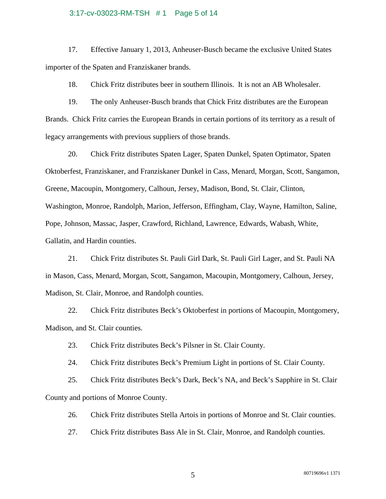#### 3:17-cv-03023-RM-TSH # 1 Page 5 of 14

17. Effective January 1, 2013, Anheuser-Busch became the exclusive United States importer of the Spaten and Franziskaner brands.

18. Chick Fritz distributes beer in southern Illinois. It is not an AB Wholesaler.

19. The only Anheuser-Busch brands that Chick Fritz distributes are the European Brands. Chick Fritz carries the European Brands in certain portions of its territory as a result of legacy arrangements with previous suppliers of those brands.

20. Chick Fritz distributes Spaten Lager, Spaten Dunkel, Spaten Optimator, Spaten Oktoberfest, Franziskaner, and Franziskaner Dunkel in Cass, Menard, Morgan, Scott, Sangamon, Greene, Macoupin, Montgomery, Calhoun, Jersey, Madison, Bond, St. Clair, Clinton, Washington, Monroe, Randolph, Marion, Jefferson, Effingham, Clay, Wayne, Hamilton, Saline, Pope, Johnson, Massac, Jasper, Crawford, Richland, Lawrence, Edwards, Wabash, White, Gallatin, and Hardin counties.

21. Chick Fritz distributes St. Pauli Girl Dark, St. Pauli Girl Lager, and St. Pauli NA in Mason, Cass, Menard, Morgan, Scott, Sangamon, Macoupin, Montgomery, Calhoun, Jersey, Madison, St. Clair, Monroe, and Randolph counties.

22. Chick Fritz distributes Beck's Oktoberfest in portions of Macoupin, Montgomery, Madison, and St. Clair counties.

23. Chick Fritz distributes Beck's Pilsner in St. Clair County.

24. Chick Fritz distributes Beck's Premium Light in portions of St. Clair County.

25. Chick Fritz distributes Beck's Dark, Beck's NA, and Beck's Sapphire in St. Clair County and portions of Monroe County.

26. Chick Fritz distributes Stella Artois in portions of Monroe and St. Clair counties.

27. Chick Fritz distributes Bass Ale in St. Clair, Monroe, and Randolph counties.

80719696v1 1371 5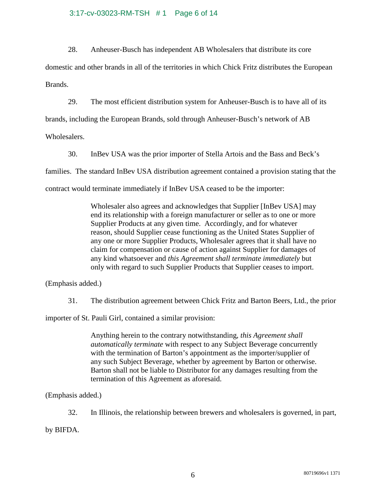## 3:17-cv-03023-RM-TSH # 1 Page 6 of 14

28. Anheuser-Busch has independent AB Wholesalers that distribute its core

domestic and other brands in all of the territories in which Chick Fritz distributes the European Brands.

29. The most efficient distribution system for Anheuser-Busch is to have all of its brands, including the European Brands, sold through Anheuser-Busch's network of AB Wholesalers.

30. InBev USA was the prior importer of Stella Artois and the Bass and Beck's families. The standard InBev USA distribution agreement contained a provision stating that the contract would terminate immediately if InBev USA ceased to be the importer:

> Wholesaler also agrees and acknowledges that Supplier [InBev USA] may end its relationship with a foreign manufacturer or seller as to one or more Supplier Products at any given time. Accordingly, and for whatever reason, should Supplier cease functioning as the United States Supplier of any one or more Supplier Products, Wholesaler agrees that it shall have no claim for compensation or cause of action against Supplier for damages of any kind whatsoever and *this Agreement shall terminate immediately* but only with regard to such Supplier Products that Supplier ceases to import.

(Emphasis added.)

31. The distribution agreement between Chick Fritz and Barton Beers, Ltd., the prior

importer of St. Pauli Girl, contained a similar provision:

Anything herein to the contrary notwithstanding, *this Agreement shall automatically terminate* with respect to any Subject Beverage concurrently with the termination of Barton's appointment as the importer/supplier of any such Subject Beverage, whether by agreement by Barton or otherwise. Barton shall not be liable to Distributor for any damages resulting from the termination of this Agreement as aforesaid.

(Emphasis added.)

32. In Illinois, the relationship between brewers and wholesalers is governed, in part,

by BIFDA.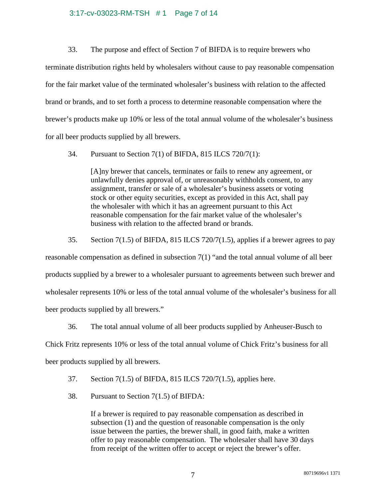## 3:17-cv-03023-RM-TSH # 1 Page 7 of 14

33. The purpose and effect of Section 7 of BIFDA is to require brewers who terminate distribution rights held by wholesalers without cause to pay reasonable compensation for the fair market value of the terminated wholesaler's business with relation to the affected brand or brands, and to set forth a process to determine reasonable compensation where the brewer's products make up 10% or less of the total annual volume of the wholesaler's business for all beer products supplied by all brewers.

34. Pursuant to Section 7(1) of BIFDA, 815 ILCS 720/7(1):

[A]ny brewer that cancels, terminates or fails to renew any agreement, or unlawfully denies approval of, or unreasonably withholds consent, to any assignment, transfer or sale of a wholesaler's business assets or voting stock or other equity securities, except as provided in this Act, shall pay the wholesaler with which it has an agreement pursuant to this Act reasonable compensation for the fair market value of the wholesaler's business with relation to the affected brand or brands.

35. Section 7(1.5) of BIFDA, 815 ILCS 720/7(1.5), applies if a brewer agrees to pay reasonable compensation as defined in subsection 7(1) "and the total annual volume of all beer products supplied by a brewer to a wholesaler pursuant to agreements between such brewer and wholesaler represents 10% or less of the total annual volume of the wholesaler's business for all beer products supplied by all brewers."

36. The total annual volume of all beer products supplied by Anheuser-Busch to

Chick Fritz represents 10% or less of the total annual volume of Chick Fritz's business for all beer products supplied by all brewers.

37. Section 7(1.5) of BIFDA, 815 ILCS 720/7(1.5), applies here.

38. Pursuant to Section 7(1.5) of BIFDA:

If a brewer is required to pay reasonable compensation as described in subsection (1) and the question of reasonable compensation is the only issue between the parties, the brewer shall, in good faith, make a written offer to pay reasonable compensation. The wholesaler shall have 30 days from receipt of the written offer to accept or reject the brewer's offer.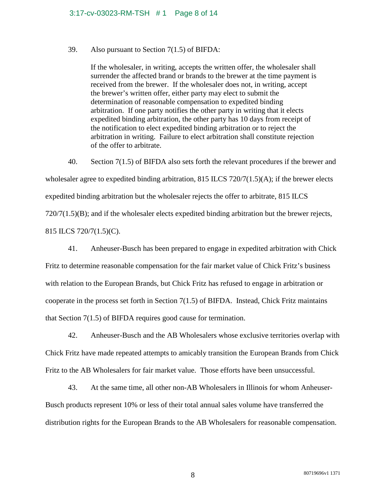# 39. Also pursuant to Section 7(1.5) of BIFDA:

If the wholesaler, in writing, accepts the written offer, the wholesaler shall surrender the affected brand or brands to the brewer at the time payment is received from the brewer. If the wholesaler does not, in writing, accept the brewer's written offer, either party may elect to submit the determination of reasonable compensation to expedited binding arbitration. If one party notifies the other party in writing that it elects expedited binding arbitration, the other party has 10 days from receipt of the notification to elect expedited binding arbitration or to reject the arbitration in writing. Failure to elect arbitration shall constitute rejection of the offer to arbitrate.

40. Section 7(1.5) of BIFDA also sets forth the relevant procedures if the brewer and wholesaler agree to expedited binding arbitration, 815 ILCS 720/7(1.5)(A); if the brewer elects expedited binding arbitration but the wholesaler rejects the offer to arbitrate, 815 ILCS  $720/7(1.5)(B)$ ; and if the wholesaler elects expedited binding arbitration but the brewer rejects, 815 ILCS 720/7(1.5)(C).

41. Anheuser-Busch has been prepared to engage in expedited arbitration with Chick Fritz to determine reasonable compensation for the fair market value of Chick Fritz's business with relation to the European Brands, but Chick Fritz has refused to engage in arbitration or cooperate in the process set forth in Section 7(1.5) of BIFDA. Instead, Chick Fritz maintains that Section 7(1.5) of BIFDA requires good cause for termination.

42. Anheuser-Busch and the AB Wholesalers whose exclusive territories overlap with Chick Fritz have made repeated attempts to amicably transition the European Brands from Chick Fritz to the AB Wholesalers for fair market value. Those efforts have been unsuccessful.

43. At the same time, all other non-AB Wholesalers in Illinois for whom Anheuser-Busch products represent 10% or less of their total annual sales volume have transferred the distribution rights for the European Brands to the AB Wholesalers for reasonable compensation.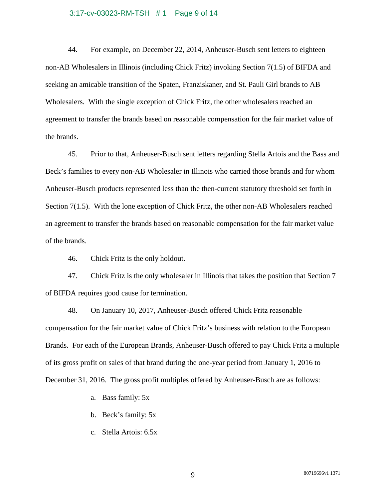#### 3:17-cv-03023-RM-TSH # 1 Page 9 of 14

44. For example, on December 22, 2014, Anheuser-Busch sent letters to eighteen non-AB Wholesalers in Illinois (including Chick Fritz) invoking Section 7(1.5) of BIFDA and seeking an amicable transition of the Spaten, Franziskaner, and St. Pauli Girl brands to AB Wholesalers. With the single exception of Chick Fritz, the other wholesalers reached an agreement to transfer the brands based on reasonable compensation for the fair market value of the brands.

45. Prior to that, Anheuser-Busch sent letters regarding Stella Artois and the Bass and Beck's families to every non-AB Wholesaler in Illinois who carried those brands and for whom Anheuser-Busch products represented less than the then-current statutory threshold set forth in Section 7(1.5). With the lone exception of Chick Fritz, the other non-AB Wholesalers reached an agreement to transfer the brands based on reasonable compensation for the fair market value of the brands.

46. Chick Fritz is the only holdout.

47. Chick Fritz is the only wholesaler in Illinois that takes the position that Section 7 of BIFDA requires good cause for termination.

48. On January 10, 2017, Anheuser-Busch offered Chick Fritz reasonable compensation for the fair market value of Chick Fritz's business with relation to the European Brands. For each of the European Brands, Anheuser-Busch offered to pay Chick Fritz a multiple of its gross profit on sales of that brand during the one-year period from January 1, 2016 to December 31, 2016. The gross profit multiples offered by Anheuser-Busch are as follows:

- a. Bass family: 5x
- b. Beck's family: 5x
- c. Stella Artois: 6.5x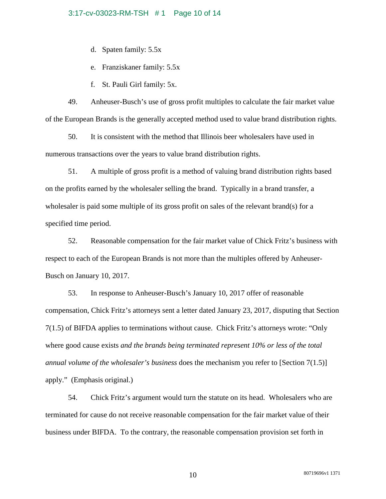## 3:17-cv-03023-RM-TSH # 1 Page 10 of 14

d. Spaten family: 5.5x

e. Franziskaner family: 5.5x

f. St. Pauli Girl family: 5x.

49. Anheuser-Busch's use of gross profit multiples to calculate the fair market value of the European Brands is the generally accepted method used to value brand distribution rights.

50. It is consistent with the method that Illinois beer wholesalers have used in numerous transactions over the years to value brand distribution rights.

51. A multiple of gross profit is a method of valuing brand distribution rights based on the profits earned by the wholesaler selling the brand. Typically in a brand transfer, a wholesaler is paid some multiple of its gross profit on sales of the relevant brand(s) for a specified time period.

52. Reasonable compensation for the fair market value of Chick Fritz's business with respect to each of the European Brands is not more than the multiples offered by Anheuser-Busch on January 10, 2017.

53. In response to Anheuser-Busch's January 10, 2017 offer of reasonable compensation, Chick Fritz's attorneys sent a letter dated January 23, 2017, disputing that Section 7(1.5) of BIFDA applies to terminations without cause. Chick Fritz's attorneys wrote: "Only where good cause exists *and the brands being terminated represent 10% or less of the total annual volume of the wholesaler's business* does the mechanism you refer to [Section 7(1.5)] apply." (Emphasis original.)

54. Chick Fritz's argument would turn the statute on its head. Wholesalers who are terminated for cause do not receive reasonable compensation for the fair market value of their business under BIFDA. To the contrary, the reasonable compensation provision set forth in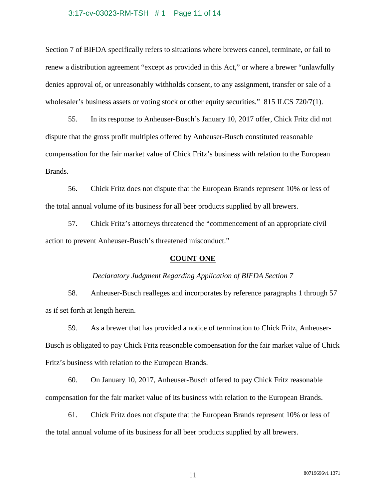#### 3:17-cv-03023-RM-TSH # 1 Page 11 of 14

Section 7 of BIFDA specifically refers to situations where brewers cancel, terminate, or fail to renew a distribution agreement "except as provided in this Act," or where a brewer "unlawfully denies approval of, or unreasonably withholds consent, to any assignment, transfer or sale of a wholesaler's business assets or voting stock or other equity securities." 815 ILCS 720/7(1).

55. In its response to Anheuser-Busch's January 10, 2017 offer, Chick Fritz did not dispute that the gross profit multiples offered by Anheuser-Busch constituted reasonable compensation for the fair market value of Chick Fritz's business with relation to the European Brands.

56. Chick Fritz does not dispute that the European Brands represent 10% or less of the total annual volume of its business for all beer products supplied by all brewers.

57. Chick Fritz's attorneys threatened the "commencement of an appropriate civil action to prevent Anheuser-Busch's threatened misconduct."

#### **COUNT ONE**

#### *Declaratory Judgment Regarding Application of BIFDA Section 7*

58. Anheuser-Busch realleges and incorporates by reference paragraphs 1 through 57 as if set forth at length herein.

59. As a brewer that has provided a notice of termination to Chick Fritz, Anheuser-Busch is obligated to pay Chick Fritz reasonable compensation for the fair market value of Chick Fritz's business with relation to the European Brands.

60. On January 10, 2017, Anheuser-Busch offered to pay Chick Fritz reasonable compensation for the fair market value of its business with relation to the European Brands.

61. Chick Fritz does not dispute that the European Brands represent 10% or less of the total annual volume of its business for all beer products supplied by all brewers.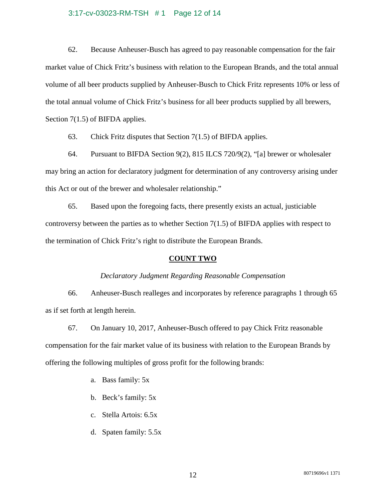## 3:17-cv-03023-RM-TSH # 1 Page 12 of 14

62. Because Anheuser-Busch has agreed to pay reasonable compensation for the fair market value of Chick Fritz's business with relation to the European Brands, and the total annual volume of all beer products supplied by Anheuser-Busch to Chick Fritz represents 10% or less of the total annual volume of Chick Fritz's business for all beer products supplied by all brewers, Section 7(1.5) of BIFDA applies.

63. Chick Fritz disputes that Section 7(1.5) of BIFDA applies.

64. Pursuant to BIFDA Section 9(2), 815 ILCS 720/9(2), "[a] brewer or wholesaler may bring an action for declaratory judgment for determination of any controversy arising under this Act or out of the brewer and wholesaler relationship."

65. Based upon the foregoing facts, there presently exists an actual, justiciable controversy between the parties as to whether Section 7(1.5) of BIFDA applies with respect to the termination of Chick Fritz's right to distribute the European Brands.

## **COUNT TWO**

## *Declaratory Judgment Regarding Reasonable Compensation*

66. Anheuser-Busch realleges and incorporates by reference paragraphs 1 through 65 as if set forth at length herein.

67. On January 10, 2017, Anheuser-Busch offered to pay Chick Fritz reasonable compensation for the fair market value of its business with relation to the European Brands by offering the following multiples of gross profit for the following brands:

a. Bass family: 5x

- b. Beck's family: 5x
- c. Stella Artois: 6.5x
- d. Spaten family: 5.5x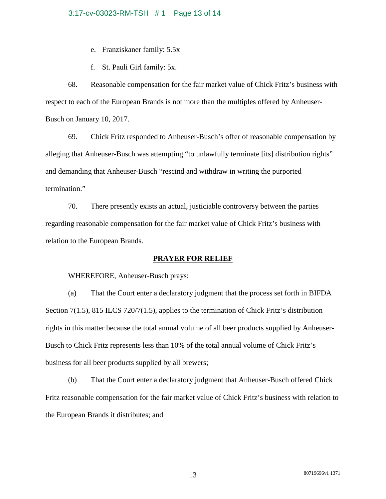## 3:17-cv-03023-RM-TSH # 1 Page 13 of 14

e. Franziskaner family: 5.5x

f. St. Pauli Girl family: 5x.

68. Reasonable compensation for the fair market value of Chick Fritz's business with respect to each of the European Brands is not more than the multiples offered by Anheuser-Busch on January 10, 2017.

69. Chick Fritz responded to Anheuser-Busch's offer of reasonable compensation by alleging that Anheuser-Busch was attempting "to unlawfully terminate [its] distribution rights" and demanding that Anheuser-Busch "rescind and withdraw in writing the purported termination."

70. There presently exists an actual, justiciable controversy between the parties regarding reasonable compensation for the fair market value of Chick Fritz's business with relation to the European Brands.

## **PRAYER FOR RELIEF**

WHEREFORE, Anheuser-Busch prays:

(a) That the Court enter a declaratory judgment that the process set forth in BIFDA Section 7(1.5), 815 ILCS 720/7(1.5), applies to the termination of Chick Fritz's distribution rights in this matter because the total annual volume of all beer products supplied by Anheuser-Busch to Chick Fritz represents less than 10% of the total annual volume of Chick Fritz's business for all beer products supplied by all brewers;

(b) That the Court enter a declaratory judgment that Anheuser-Busch offered Chick Fritz reasonable compensation for the fair market value of Chick Fritz's business with relation to the European Brands it distributes; and